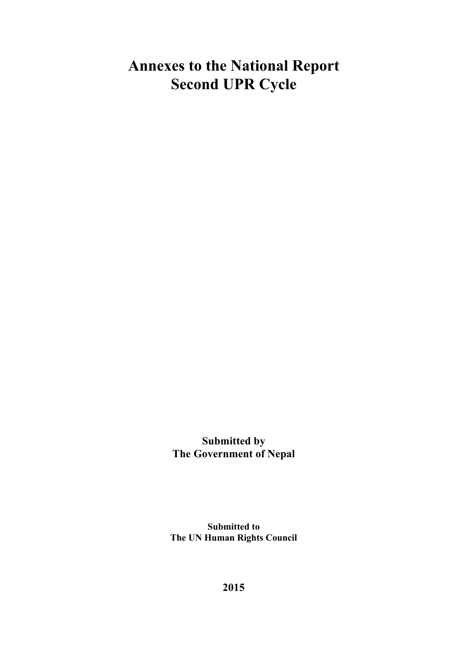# **Annexes to the National Report Second UPR Cycle**

**Submitted by The Government of Nepal**

**Submitted to The UN Human Rights Council**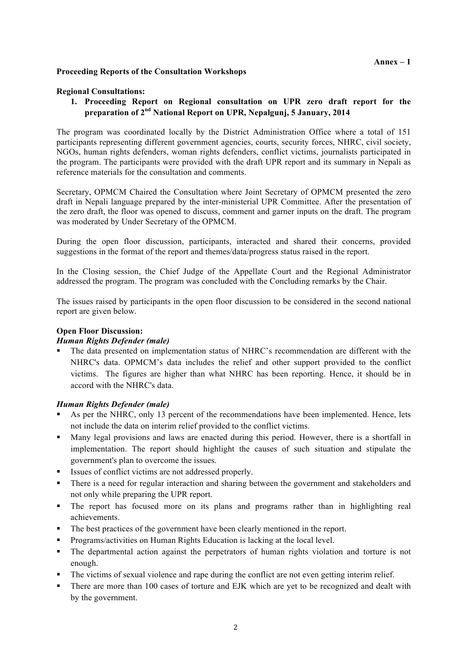#### **Proceeding Reports of the Consultation Workshops**

#### **Regional Consultations:**

**1. Proceeding Report on Regional consultation on UPR zero draft report for the preparation of 2nd National Report on UPR, Nepalgunj, 5 January, 2014**

The program was coordinated locally by the District Administration Office where a total of 151 participants representing different government agencies, courts, security forces, NHRC, civil society, NGOs, human rights defenders, woman rights defenders, conflict victims, journalists participated in the program. The participants were provided with the draft UPR report and its summary in Nepali as reference materials for the consultation and comments.

Secretary, OPMCM Chaired the Consultation where Joint Secretary of OPMCM presented the zero draft in Nepali language prepared by the inter-ministerial UPR Committee. After the presentation of the zero draft, the floor was opened to discuss, comment and garner inputs on the draft. The program was moderated by Under Secretary of the OPMCM.

During the open floor discussion, participants, interacted and shared their concerns, provided suggestions in the format of the report and themes/data/progress status raised in the report.

In the Closing session, the Chief Judge of the Appellate Court and the Regional Administrator addressed the program. The program was concluded with the Concluding remarks by the Chair.

The issues raised by participants in the open floor discussion to be considered in the second national report are given below.

## **Open Floor Discussion:**

#### *Human Rights Defender (male)*

! The data presented on implementation status of NHRC's recommendation are different with the NHRC's data. OPMCM's data includes the relief and other support provided to the conflict victims. The figures are higher than what NHRC has been reporting. Hence, it should be in accord with the NHRC's data.

#### *Human Rights Defender (male)*

- As per the NHRC, only 13 percent of the recommendations have been implemented. Hence, lets not include the data on interim relief provided to the conflict victims.
- ! Many legal provisions and laws are enacted during this period. However, there is a shortfall in implementation. The report should highlight the causes of such situation and stipulate the government's plan to overcome the issues.
- ! Issues of conflict victims are not addressed properly.
- ! There is a need for regular interaction and sharing between the government and stakeholders and not only while preparing the UPR report.
- ! The report has focused more on its plans and programs rather than in highlighting real achievements.
- ! The best practices of the government have been clearly mentioned in the report.
- ! Programs/activities on Human Rights Education is lacking at the local level.
- ! The departmental action against the perpetrators of human rights violation and torture is not enough.
- ! The victims of sexual violence and rape during the conflict are not even getting interim relief.
- ! There are more than 100 cases of torture and EJK which are yet to be recognized and dealt with by the government.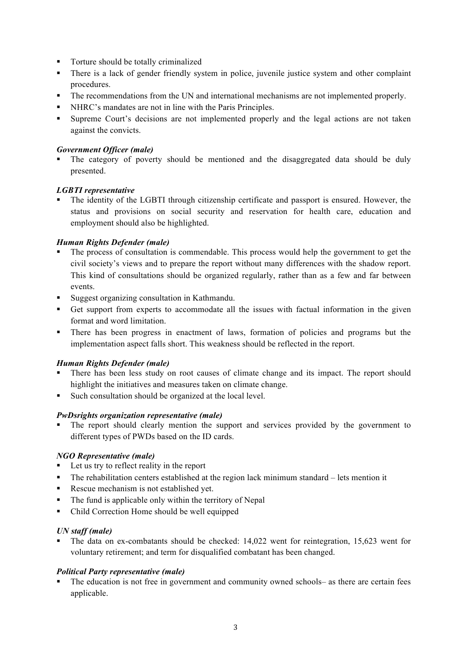- Torture should be totally criminalized
- ! There is a lack of gender friendly system in police, juvenile justice system and other complaint procedures.
- ! The recommendations from the UN and international mechanisms are not implemented properly.
- ! NHRC's mandates are not in line with the Paris Principles.
- ! Supreme Court's decisions are not implemented properly and the legal actions are not taken against the convicts.

## *Government Officer (male)*

The category of poverty should be mentioned and the disaggregated data should be duly presented.

#### *LGBTI representative*

! The identity of the LGBTI through citizenship certificate and passport is ensured. However, the status and provisions on social security and reservation for health care, education and employment should also be highlighted.

## *Human Rights Defender (male)*

- ! The process of consultation is commendable. This process would help the government to get the civil society's views and to prepare the report without many differences with the shadow report. This kind of consultations should be organized regularly, rather than as a few and far between events.
- ! Suggest organizing consultation in Kathmandu.
- ! Get support from experts to accommodate all the issues with factual information in the given format and word limitation.
- ! There has been progress in enactment of laws, formation of policies and programs but the implementation aspect falls short. This weakness should be reflected in the report.

## *Human Rights Defender (male)*

- ! There has been less study on root causes of climate change and its impact. The report should highlight the initiatives and measures taken on climate change.
- Such consultation should be organized at the local level.

## *PwDsrights organization representative (male)*

! The report should clearly mention the support and services provided by the government to different types of PWDs based on the ID cards.

## *NGO Representative (male)*

- ! Let us try to reflect reality in the report
- ! The rehabilitation centers established at the region lack minimum standard lets mention it
- ! Rescue mechanism is not established yet.
- ! The fund is applicable only within the territory of Nepal
- ! Child Correction Home should be well equipped

## *UN staff (male)*

! The data on ex-combatants should be checked: 14,022 went for reintegration, 15,623 went for voluntary retirement; and term for disqualified combatant has been changed.

## *Political Party representative (male)*

! The education is not free in government and community owned schools– as there are certain fees applicable.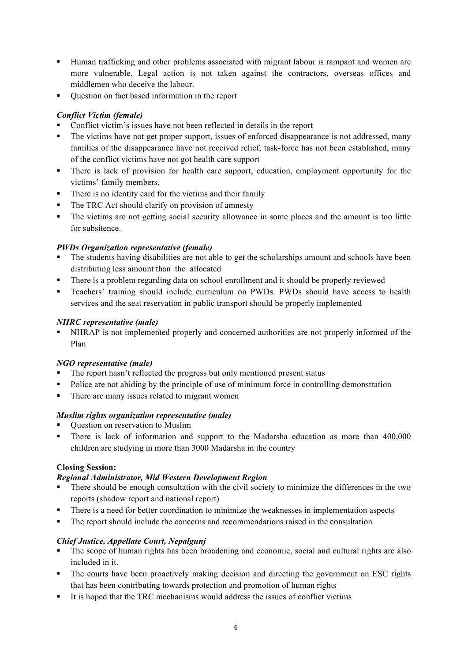- ! Human trafficking and other problems associated with migrant labour is rampant and women are more vulnerable. Legal action is not taken against the contractors, overseas offices and middlemen who deceive the labour.
- ! Question on fact based information in the report

# *Conflict Victim (female)*

- ! Conflict victim's issues have not been reflected in details in the report
- ! The victims have not get proper support, issues of enforced disappearance is not addressed, many families of the disappearance have not received relief, task-force has not been established, many of the conflict victims have not got health care support
- ! There is lack of provision for health care support, education, employment opportunity for the victims' family members.
- ! There is no identity card for the victims and their family
- ! The TRC Act should clarify on provision of amnesty
- ! The victims are not getting social security allowance in some places and the amount is too little for subsitence.

# *PWDs Organization representative (female)*

- ! The students having disabilities are not able to get the scholarships amount and schools have been distributing less amount than the allocated
- ! There is a problem regarding data on school enrollment and it should be properly reviewed
- ! Teachers' training should include curriculum on PWDs. PWDs should have access to health services and the seat reservation in public transport should be properly implemented

## *NHRC representative (male)*

! NHRAP is not implemented properly and concerned authorities are not properly informed of the Plan

## *NGO representative (male)*

- ! The report hasn't reflected the progress but only mentioned present status
- ! Police are not abiding by the principle of use of minimum force in controlling demonstration
- ! There are many issues related to migrant women

## *Muslim rights organization representative (male)*

- ! Question on reservation to Muslim
- ! There is lack of information and support to the Madarsha education as more than 400,000 children are studying in more than 3000 Madarsha in the country

## **Closing Session:**

## *Regional Administrator, Mid Western Development Region*

- ! There should be enough consultation with the civil society to minimize the differences in the two reports (shadow report and national report)
- ! There is a need for better coordination to minimize the weaknesses in implementation aspects
- ! The report should include the concerns and recommendations raised in the consultation

## *Chief Justice, Appellate Court, Nepalgunj*

- ! The scope of human rights has been broadening and economic, social and cultural rights are also included in it.
- ! The courts have been proactively making decision and directing the government on ESC rights that has been contributing towards protection and promotion of human rights
- ! It is hoped that the TRC mechanisms would address the issues of conflict victims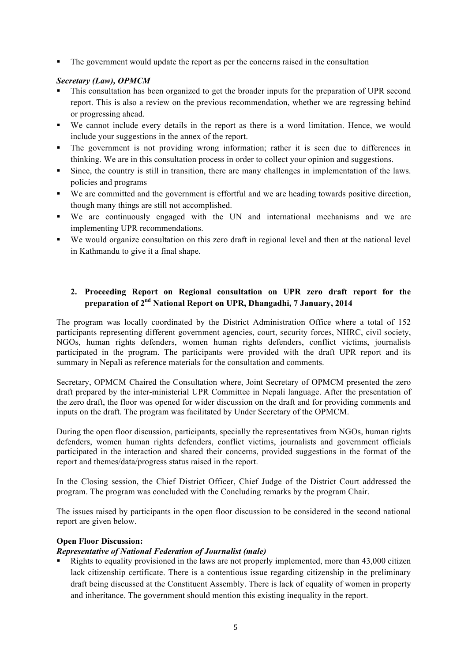! The government would update the report as per the concerns raised in the consultation

#### *Secretary (Law), OPMCM*

- ! This consultation has been organized to get the broader inputs for the preparation of UPR second report. This is also a review on the previous recommendation, whether we are regressing behind or progressing ahead.
- ! We cannot include every details in the report as there is a word limitation. Hence, we would include your suggestions in the annex of the report.
- ! The government is not providing wrong information; rather it is seen due to differences in thinking. We are in this consultation process in order to collect your opinion and suggestions.
- ! Since, the country is still in transition, there are many challenges in implementation of the laws. policies and programs
- ! We are committed and the government is effortful and we are heading towards positive direction, though many things are still not accomplished.
- ! We are continuously engaged with the UN and international mechanisms and we are implementing UPR recommendations.
- ! We would organize consultation on this zero draft in regional level and then at the national level in Kathmandu to give it a final shape.

## **2. Proceeding Report on Regional consultation on UPR zero draft report for the preparation of 2nd National Report on UPR, Dhangadhi, 7 January, 2014**

The program was locally coordinated by the District Administration Office where a total of 152 participants representing different government agencies, court, security forces, NHRC, civil society, NGOs, human rights defenders, women human rights defenders, conflict victims, journalists participated in the program. The participants were provided with the draft UPR report and its summary in Nepali as reference materials for the consultation and comments.

Secretary, OPMCM Chaired the Consultation where, Joint Secretary of OPMCM presented the zero draft prepared by the inter-ministerial UPR Committee in Nepali language. After the presentation of the zero draft, the floor was opened for wider discussion on the draft and for providing comments and inputs on the draft. The program was facilitated by Under Secretary of the OPMCM.

During the open floor discussion, participants, specially the representatives from NGOs, human rights defenders, women human rights defenders, conflict victims, journalists and government officials participated in the interaction and shared their concerns, provided suggestions in the format of the report and themes/data/progress status raised in the report.

In the Closing session, the Chief District Officer, Chief Judge of the District Court addressed the program. The program was concluded with the Concluding remarks by the program Chair.

The issues raised by participants in the open floor discussion to be considered in the second national report are given below.

#### **Open Floor Discussion:**

## *Representative of National Federation of Journalist (male)*

Rights to equality provisioned in the laws are not properly implemented, more than 43,000 citizen lack citizenship certificate. There is a contentious issue regarding citizenship in the preliminary draft being discussed at the Constituent Assembly. There is lack of equality of women in property and inheritance. The government should mention this existing inequality in the report.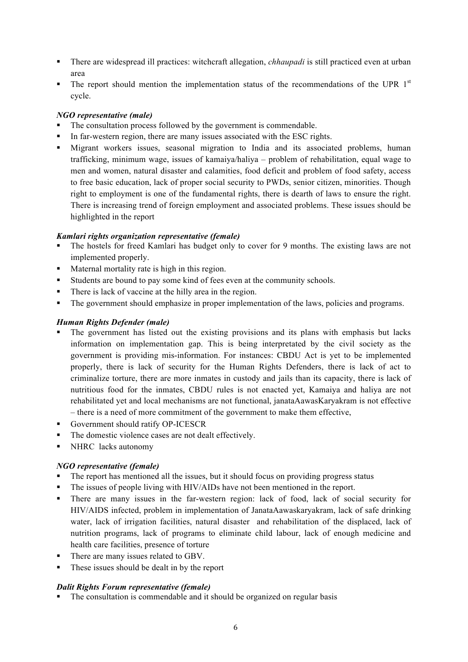- ! There are widespread ill practices: witchcraft allegation, *chhaupadi* is still practiced even at urban area
- $\blacksquare$  The report should mention the implementation status of the recommendations of the UPR  $1<sup>st</sup>$ cycle.

#### *NGO representative (male)*

- ! The consultation process followed by the government is commendable.
- ! In far-western region, there are many issues associated with the ESC rights.
- ! Migrant workers issues, seasonal migration to India and its associated problems, human trafficking, minimum wage, issues of kamaiya/haliya – problem of rehabilitation, equal wage to men and women, natural disaster and calamities, food deficit and problem of food safety, access to free basic education, lack of proper social security to PWDs, senior citizen, minorities. Though right to employment is one of the fundamental rights, there is dearth of laws to ensure the right. There is increasing trend of foreign employment and associated problems. These issues should be highlighted in the report

#### *Kamlari rights organization representative (female)*

- ! The hostels for freed Kamlari has budget only to cover for 9 months. The existing laws are not implemented properly.
- Maternal mortality rate is high in this region.
- ! Students are bound to pay some kind of fees even at the community schools.
- There is lack of vaccine at the hilly area in the region.
- ! The government should emphasize in proper implementation of the laws, policies and programs.

#### *Human Rights Defender (male)*

- ! The government has listed out the existing provisions and its plans with emphasis but lacks information on implementation gap. This is being interpretated by the civil society as the government is providing mis-information. For instances: CBDU Act is yet to be implemented properly, there is lack of security for the Human Rights Defenders, there is lack of act to criminalize torture, there are more inmates in custody and jails than its capacity, there is lack of nutritious food for the inmates, CBDU rules is not enacted yet, Kamaiya and haliya are not rehabilitated yet and local mechanisms are not functional, janataAawasKaryakram is not effective – there is a need of more commitment of the government to make them effective,
- ! Government should ratify OP-ICESCR
- The domestic violence cases are not dealt effectively.
- ! NHRC lacks autonomy

## *NGO representative (female)*

- ! The report has mentioned all the issues, but it should focus on providing progress status
- ! The issues of people living with HIV/AIDs have not been mentioned in the report.
- ! There are many issues in the far-western region: lack of food, lack of social security for HIV/AIDS infected, problem in implementation of JanataAawaskaryakram, lack of safe drinking water, lack of irrigation facilities, natural disaster and rehabilitation of the displaced, lack of nutrition programs, lack of programs to eliminate child labour, lack of enough medicine and health care facilities, presence of torture
- ! There are many issues related to GBV.
- ! These issues should be dealt in by the report

#### *Dalit Rights Forum representative (female)*

! The consultation is commendable and it should be organized on regular basis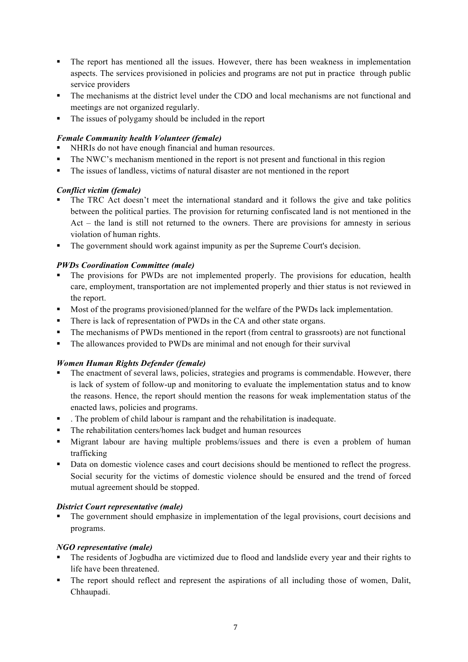- ! The report has mentioned all the issues. However, there has been weakness in implementation aspects. The services provisioned in policies and programs are not put in practice through public service providers
- ! The mechanisms at the district level under the CDO and local mechanisms are not functional and meetings are not organized regularly.
- ! The issues of polygamy should be included in the report

# *Female Community health Volunteer (female)*

- ! NHRIs do not have enough financial and human resources.
- ! The NWC's mechanism mentioned in the report is not present and functional in this region
- ! The issues of landless, victims of natural disaster are not mentioned in the report

# *Conflict victim (female)*

- ! The TRC Act doesn't meet the international standard and it follows the give and take politics between the political parties. The provision for returning confiscated land is not mentioned in the Act – the land is still not returned to the owners. There are provisions for amnesty in serious violation of human rights.
- ! The government should work against impunity as per the Supreme Court's decision.

# *PWDs Coordination Committee (male)*

- ! The provisions for PWDs are not implemented properly. The provisions for education, health care, employment, transportation are not implemented properly and thier status is not reviewed in the report.
- ! Most of the programs provisioned/planned for the welfare of the PWDs lack implementation.
- ! There is lack of representation of PWDs in the CA and other state organs.
- ! The mechanisms of PWDs mentioned in the report (from central to grassroots) are not functional
- ! The allowances provided to PWDs are minimal and not enough for their survival

## *Women Human Rights Defender (female)*

- ! The enactment of several laws, policies, strategies and programs is commendable. However, there is lack of system of follow-up and monitoring to evaluate the implementation status and to know the reasons. Hence, the report should mention the reasons for weak implementation status of the enacted laws, policies and programs.
- ! . The problem of child labour is rampant and the rehabilitation is inadequate.
- ! The rehabilitation centers/homes lack budget and human resources
- ! Migrant labour are having multiple problems/issues and there is even a problem of human trafficking
- Data on domestic violence cases and court decisions should be mentioned to reflect the progress. Social security for the victims of domestic violence should be ensured and the trend of forced mutual agreement should be stopped.

## *District Court representative (male)*

! The government should emphasize in implementation of the legal provisions, court decisions and programs.

# *NGO representative (male)*

- ! The residents of Jogbudha are victimized due to flood and landslide every year and their rights to life have been threatened.
- ! The report should reflect and represent the aspirations of all including those of women, Dalit, Chhaupadi.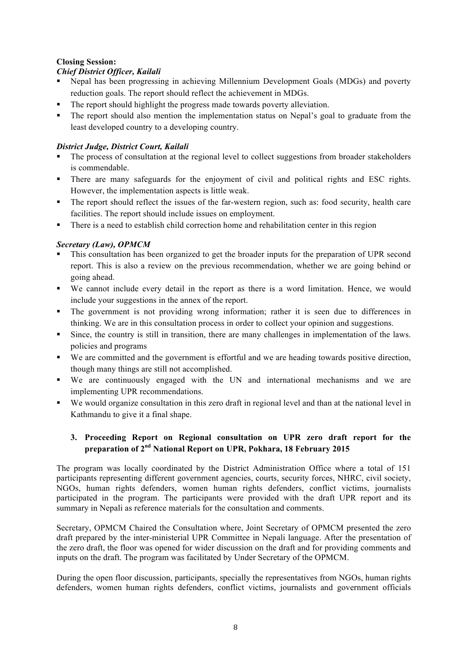## **Closing Session:**

## *Chief District Officer, Kailali*

- ! Nepal has been progressing in achieving Millennium Development Goals (MDGs) and poverty reduction goals. The report should reflect the achievement in MDGs.
- ! The report should highlight the progress made towards poverty alleviation.
- ! The report should also mention the implementation status on Nepal's goal to graduate from the least developed country to a developing country.

# *District Judge, District Court, Kailali*

- ! The process of consultation at the regional level to collect suggestions from broader stakeholders is commendable.
- ! There are many safeguards for the enjoyment of civil and political rights and ESC rights. However, the implementation aspects is little weak.
- ! The report should reflect the issues of the far-western region, such as: food security, health care facilities. The report should include issues on employment.
- ! There is a need to establish child correction home and rehabilitation center in this region

# *Secretary (Law), OPMCM*

- ! This consultation has been organized to get the broader inputs for the preparation of UPR second report. This is also a review on the previous recommendation, whether we are going behind or going ahead.
- ! We cannot include every detail in the report as there is a word limitation. Hence, we would include your suggestions in the annex of the report.
- ! The government is not providing wrong information; rather it is seen due to differences in thinking. We are in this consultation process in order to collect your opinion and suggestions.
- ! Since, the country is still in transition, there are many challenges in implementation of the laws. policies and programs
- ! We are committed and the government is effortful and we are heading towards positive direction, though many things are still not accomplished.
- ! We are continuously engaged with the UN and international mechanisms and we are implementing UPR recommendations.
- ! We would organize consultation in this zero draft in regional level and than at the national level in Kathmandu to give it a final shape.

# **3. Proceeding Report on Regional consultation on UPR zero draft report for the preparation of 2nd National Report on UPR, Pokhara, 18 February 2015**

The program was locally coordinated by the District Administration Office where a total of 151 participants representing different government agencies, courts, security forces, NHRC, civil society, NGOs, human rights defenders, women human rights defenders, conflict victims, journalists participated in the program. The participants were provided with the draft UPR report and its summary in Nepali as reference materials for the consultation and comments.

Secretary, OPMCM Chaired the Consultation where, Joint Secretary of OPMCM presented the zero draft prepared by the inter-ministerial UPR Committee in Nepali language. After the presentation of the zero draft, the floor was opened for wider discussion on the draft and for providing comments and inputs on the draft. The program was facilitated by Under Secretary of the OPMCM.

During the open floor discussion, participants, specially the representatives from NGOs, human rights defenders, women human rights defenders, conflict victims, journalists and government officials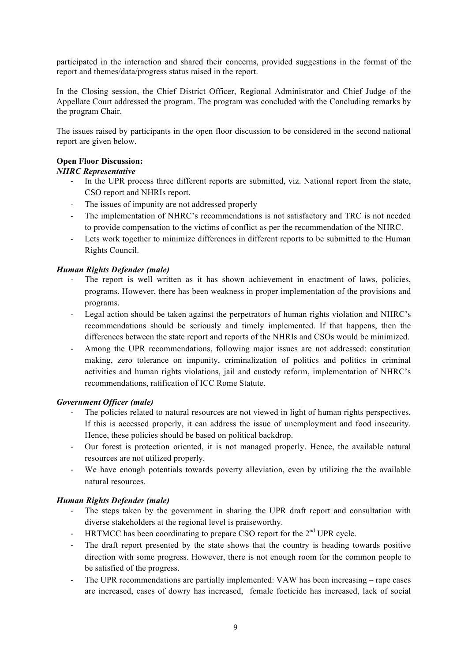participated in the interaction and shared their concerns, provided suggestions in the format of the report and themes/data/progress status raised in the report.

In the Closing session, the Chief District Officer, Regional Administrator and Chief Judge of the Appellate Court addressed the program. The program was concluded with the Concluding remarks by the program Chair.

The issues raised by participants in the open floor discussion to be considered in the second national report are given below.

#### **Open Floor Discussion:**

## *NHRC Representative*

- ! In the UPR process three different reports are submitted, viz. National report from the state, CSO report and NHRIs report.
- The issues of impunity are not addressed properly
- ! The implementation of NHRC's recommendations is not satisfactory and TRC is not needed to provide compensation to the victims of conflict as per the recommendation of the NHRC.
- ! Lets work together to minimize differences in different reports to be submitted to the Human Rights Council.

#### *Human Rights Defender (male)*

- The report is well written as it has shown achievement in enactment of laws, policies, programs. However, there has been weakness in proper implementation of the provisions and programs.
- ! Legal action should be taken against the perpetrators of human rights violation and NHRC's recommendations should be seriously and timely implemented. If that happens, then the differences between the state report and reports of the NHRIs and CSOs would be minimized.
- ! Among the UPR recommendations, following major issues are not addressed: constitution making, zero tolerance on impunity, criminalization of politics and politics in criminal activities and human rights violations, jail and custody reform, implementation of NHRC's recommendations, ratification of ICC Rome Statute.

#### *Government Officer (male)*

- ! The policies related to natural resources are not viewed in light of human rights perspectives. If this is accessed properly, it can address the issue of unemployment and food insecurity. Hence, these policies should be based on political backdrop.
- ! Our forest is protection oriented, it is not managed properly. Hence, the available natural resources are not utilized properly.
- ! We have enough potentials towards poverty alleviation, even by utilizing the the available natural resources.

#### *Human Rights Defender (male)*

- ! The steps taken by the government in sharing the UPR draft report and consultation with diverse stakeholders at the regional level is praiseworthy.
- ! HRTMCC has been coordinating to prepare CSO report for the 2nd UPR cycle.
- ! The draft report presented by the state shows that the country is heading towards positive direction with some progress. However, there is not enough room for the common people to be satisfied of the progress.
- ! The UPR recommendations are partially implemented: VAW has been increasing rape cases are increased, cases of dowry has increased, female foeticide has increased, lack of social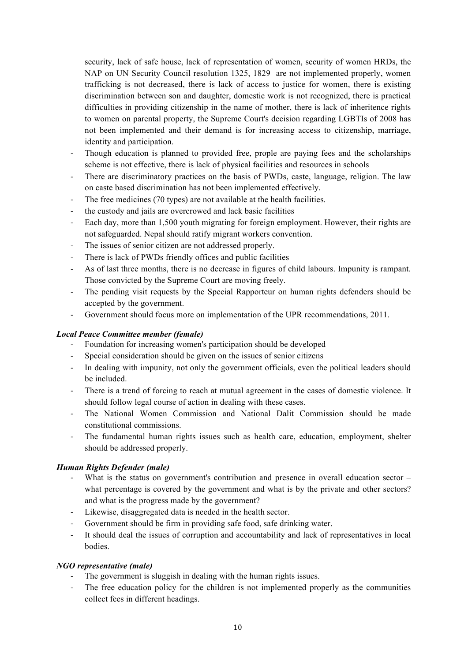security, lack of safe house, lack of representation of women, security of women HRDs, the NAP on UN Security Council resolution 1325, 1829 are not implemented properly, women trafficking is not decreased, there is lack of access to justice for women, there is existing discrimination between son and daughter, domestic work is not recognized, there is practical difficulties in providing citizenship in the name of mother, there is lack of inheritence rights to women on parental property, the Supreme Court's decision regarding LGBTIs of 2008 has not been implemented and their demand is for increasing access to citizenship, marriage, identity and participation.

- ! Though education is planned to provided free, prople are paying fees and the scholarships scheme is not effective, there is lack of physical facilities and resources in schools
- ! There are discriminatory practices on the basis of PWDs, caste, language, religion. The law on caste based discrimination has not been implemented effectively.
- ! The free medicines (70 types) are not available at the health facilities.
- the custody and jails are overcrowed and lack basic facilities
- ! Each day, more than 1,500 youth migrating for foreign employment. However, their rights are not safeguarded. Nepal should ratify migrant workers convention.
- ! The issues of senior citizen are not addressed properly.
- ! There is lack of PWDs friendly offices and public facilities
- ! As of last three months, there is no decrease in figures of child labours. Impunity is rampant. Those convicted by the Supreme Court are moving freely.
- ! The pending visit requests by the Special Rapporteur on human rights defenders should be accepted by the government.
- ! Government should focus more on implementation of the UPR recommendations, 2011.

#### *Local Peace Committee member (female)*

- ! Foundation for increasing women's participation should be developed
- ! Special consideration should be given on the issues of senior citizens
- ! In dealing with impunity, not only the government officials, even the political leaders should be included.
- ! There is a trend of forcing to reach at mutual agreement in the cases of domestic violence. It should follow legal course of action in dealing with these cases.
- ! The National Women Commission and National Dalit Commission should be made constitutional commissions.
- ! The fundamental human rights issues such as health care, education, employment, shelter should be addressed properly.

## *Human Rights Defender (male)*

- What is the status on government's contribution and presence in overall education sector  $$ what percentage is covered by the government and what is by the private and other sectors? and what is the progress made by the government?
- Likewise, disaggregated data is needed in the health sector.
- Government should be firm in providing safe food, safe drinking water.
- ! It should deal the issues of corruption and accountability and lack of representatives in local bodies.

#### *NGO representative (male)*

- ! The government is sluggish in dealing with the human rights issues.
- ! The free education policy for the children is not implemented properly as the communities collect fees in different headings.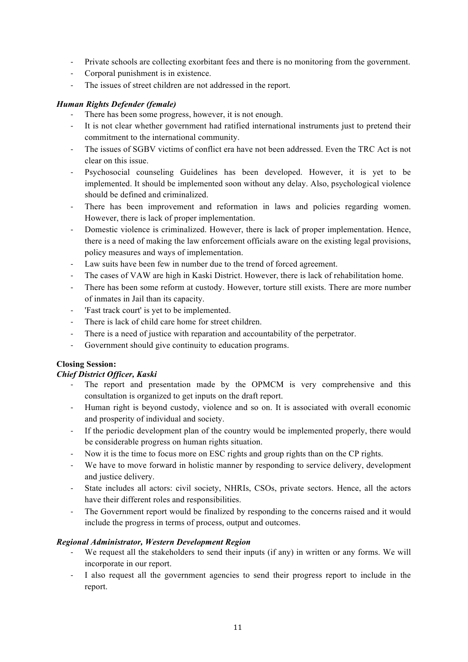- ! Private schools are collecting exorbitant fees and there is no monitoring from the government.
- ! Corporal punishment is in existence.
- ! The issues of street children are not addressed in the report.

#### *Human Rights Defender (female)*

- There has been some progress, however, it is not enough.
- ! It is not clear whether government had ratified international instruments just to pretend their commitment to the international community.
- ! The issues of SGBV victims of conflict era have not been addressed. Even the TRC Act is not clear on this issue.
- ! Psychosocial counseling Guidelines has been developed. However, it is yet to be implemented. It should be implemented soon without any delay. Also, psychological violence should be defined and criminalized.
- There has been improvement and reformation in laws and policies regarding women. However, there is lack of proper implementation.
- ! Domestic violence is criminalized. However, there is lack of proper implementation. Hence, there is a need of making the law enforcement officials aware on the existing legal provisions, policy measures and ways of implementation.
- Law suits have been few in number due to the trend of forced agreement.
- ! The cases of VAW are high in Kaski District. However, there is lack of rehabilitation home.
- ! There has been some reform at custody. However, torture still exists. There are more number of inmates in Jail than its capacity.
- ! 'Fast track court' is yet to be implemented.
- There is lack of child care home for street children.
- There is a need of justice with reparation and accountability of the perpetrator.
- ! Government should give continuity to education programs.

## **Closing Session:**

#### *Chief District Officer, Kaski*

- ! The report and presentation made by the OPMCM is very comprehensive and this consultation is organized to get inputs on the draft report.
- ! Human right is beyond custody, violence and so on. It is associated with overall economic and prosperity of individual and society.
- ! If the periodic development plan of the country would be implemented properly, there would be considerable progress on human rights situation.
- ! Now it is the time to focus more on ESC rights and group rights than on the CP rights.
- ! We have to move forward in holistic manner by responding to service delivery, development and justice delivery.
- ! State includes all actors: civil society, NHRIs, CSOs, private sectors. Hence, all the actors have their different roles and responsibilities.
- ! The Government report would be finalized by responding to the concerns raised and it would include the progress in terms of process, output and outcomes.

## *Regional Administrator, Western Development Region*

- We request all the stakeholders to send their inputs (if any) in written or any forms. We will incorporate in our report.
- ! I also request all the government agencies to send their progress report to include in the report.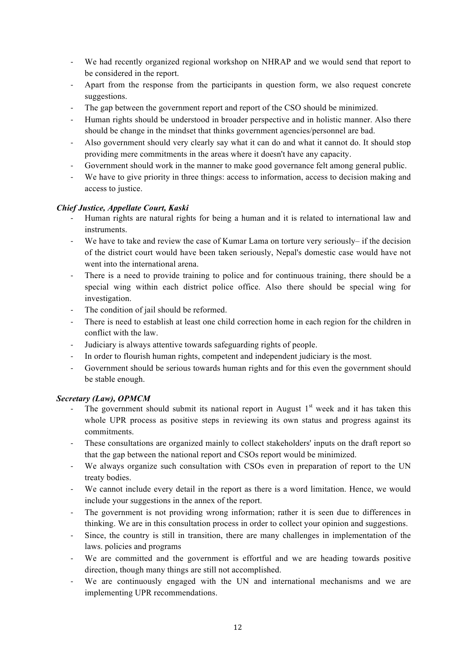- ! We had recently organized regional workshop on NHRAP and we would send that report to be considered in the report.
- ! Apart from the response from the participants in question form, we also request concrete suggestions.
- ! The gap between the government report and report of the CSO should be minimized.
- ! Human rights should be understood in broader perspective and in holistic manner. Also there should be change in the mindset that thinks government agencies/personnel are bad.
- ! Also government should very clearly say what it can do and what it cannot do. It should stop providing mere commitments in the areas where it doesn't have any capacity.
- ! Government should work in the manner to make good governance felt among general public.
- We have to give priority in three things: access to information, access to decision making and access to justice.

## *Chief Justice, Appellate Court, Kaski*

- ! Human rights are natural rights for being a human and it is related to international law and instruments.
- We have to take and review the case of Kumar Lama on torture very seriously– if the decision of the district court would have been taken seriously, Nepal's domestic case would have not went into the international arena.
- ! There is a need to provide training to police and for continuous training, there should be a special wing within each district police office. Also there should be special wing for investigation.
- The condition of jail should be reformed.
- ! There is need to establish at least one child correction home in each region for the children in conflict with the law.
- ! Judiciary is always attentive towards safeguarding rights of people.
- ! In order to flourish human rights, competent and independent judiciary is the most.
- ! Government should be serious towards human rights and for this even the government should be stable enough.

#### *Secretary (Law), OPMCM*

- The government should submit its national report in August  $1<sup>st</sup>$  week and it has taken this whole UPR process as positive steps in reviewing its own status and progress against its commitments.
- ! These consultations are organized mainly to collect stakeholders' inputs on the draft report so that the gap between the national report and CSOs report would be minimized.
- ! We always organize such consultation with CSOs even in preparation of report to the UN treaty bodies.
- We cannot include every detail in the report as there is a word limitation. Hence, we would include your suggestions in the annex of the report.
- ! The government is not providing wrong information; rather it is seen due to differences in thinking. We are in this consultation process in order to collect your opinion and suggestions.
- ! Since, the country is still in transition, there are many challenges in implementation of the laws. policies and programs
- ! We are committed and the government is effortful and we are heading towards positive direction, though many things are still not accomplished.
- ! We are continuously engaged with the UN and international mechanisms and we are implementing UPR recommendations.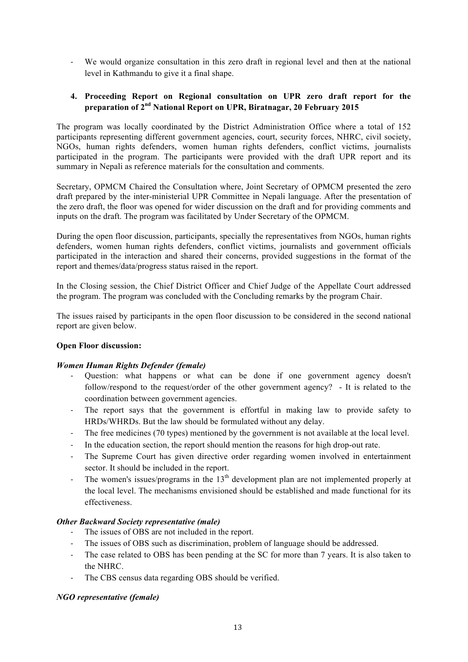! We would organize consultation in this zero draft in regional level and then at the national level in Kathmandu to give it a final shape.

## **4. Proceeding Report on Regional consultation on UPR zero draft report for the preparation of 2nd National Report on UPR, Biratnagar, 20 February 2015**

The program was locally coordinated by the District Administration Office where a total of 152 participants representing different government agencies, court, security forces, NHRC, civil society, NGOs, human rights defenders, women human rights defenders, conflict victims, journalists participated in the program. The participants were provided with the draft UPR report and its summary in Nepali as reference materials for the consultation and comments.

Secretary, OPMCM Chaired the Consultation where, Joint Secretary of OPMCM presented the zero draft prepared by the inter-ministerial UPR Committee in Nepali language. After the presentation of the zero draft, the floor was opened for wider discussion on the draft and for providing comments and inputs on the draft. The program was facilitated by Under Secretary of the OPMCM.

During the open floor discussion, participants, specially the representatives from NGOs, human rights defenders, women human rights defenders, conflict victims, journalists and government officials participated in the interaction and shared their concerns, provided suggestions in the format of the report and themes/data/progress status raised in the report.

In the Closing session, the Chief District Officer and Chief Judge of the Appellate Court addressed the program. The program was concluded with the Concluding remarks by the program Chair.

The issues raised by participants in the open floor discussion to be considered in the second national report are given below.

#### **Open Floor discussion:**

#### *Women Human Rights Defender (female)*

- ! Question: what happens or what can be done if one government agency doesn't follow/respond to the request/order of the other government agency? - It is related to the coordination between government agencies.
- ! The report says that the government is effortful in making law to provide safety to HRDs/WHRDs. But the law should be formulated without any delay.
- ! The free medicines (70 types) mentioned by the government is not available at the local level.
- ! In the education section, the report should mention the reasons for high drop-out rate.
- The Supreme Court has given directive order regarding women involved in entertainment sector. It should be included in the report.
- $\blacksquare$  The women's issues/programs in the 13<sup>th</sup> development plan are not implemented properly at the local level. The mechanisms envisioned should be established and made functional for its effectiveness.

#### *Other Backward Society representative (male)*

- The issues of OBS are not included in the report.
- ! The issues of OBS such as discrimination, problem of language should be addressed.
- ! The case related to OBS has been pending at the SC for more than 7 years. It is also taken to the NHRC.
- ! The CBS census data regarding OBS should be verified.

#### *NGO representative (female)*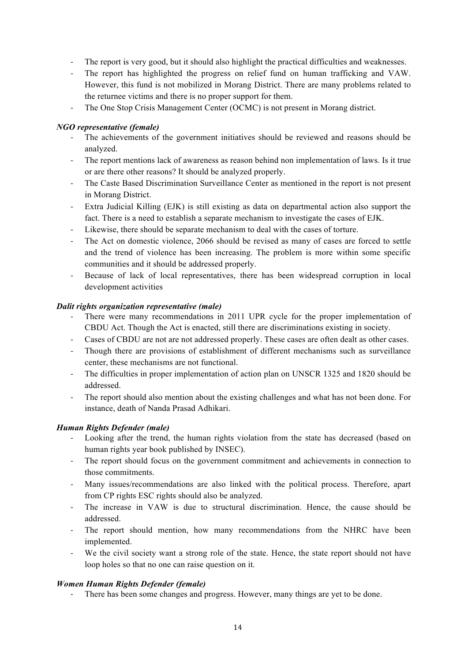- ! The report is very good, but it should also highlight the practical difficulties and weaknesses.
- ! The report has highlighted the progress on relief fund on human trafficking and VAW. However, this fund is not mobilized in Morang District. There are many problems related to the returnee victims and there is no proper support for them.
- ! The One Stop Crisis Management Center (OCMC) is not present in Morang district.

#### *NGO representative (female)*

- ! The achievements of the government initiatives should be reviewed and reasons should be analyzed.
- ! The report mentions lack of awareness as reason behind non implementation of laws. Is it true or are there other reasons? It should be analyzed properly.
- ! The Caste Based Discrimination Surveillance Center as mentioned in the report is not present in Morang District.
- ! Extra Judicial Killing (EJK) is still existing as data on departmental action also support the fact. There is a need to establish a separate mechanism to investigate the cases of EJK.
- Likewise, there should be separate mechanism to deal with the cases of torture.
- ! The Act on domestic violence, 2066 should be revised as many of cases are forced to settle and the trend of violence has been increasing. The problem is more within some specific communities and it should be addressed properly.
- ! Because of lack of local representatives, there has been widespread corruption in local development activities

#### *Dalit rights organization representative (male)*

- ! There were many recommendations in 2011 UPR cycle for the proper implementation of CBDU Act. Though the Act is enacted, still there are discriminations existing in society.
- ! Cases of CBDU are not are not addressed properly. These cases are often dealt as other cases.
- ! Though there are provisions of establishment of different mechanisms such as surveillance center, these mechanisms are not functional.
- The difficulties in proper implementation of action plan on UNSCR 1325 and 1820 should be addressed.
- The report should also mention about the existing challenges and what has not been done. For instance, death of Nanda Prasad Adhikari.

#### *Human Rights Defender (male)*

- Looking after the trend, the human rights violation from the state has decreased (based on human rights year book published by INSEC).
- The report should focus on the government commitment and achievements in connection to those commitments.
- ! Many issues/recommendations are also linked with the political process. Therefore, apart from CP rights ESC rights should also be analyzed.
- ! The increase in VAW is due to structural discrimination. Hence, the cause should be addressed.
- The report should mention, how many recommendations from the NHRC have been implemented.
- ! We the civil society want a strong role of the state. Hence, the state report should not have loop holes so that no one can raise question on it.

#### *Women Human Rights Defender (female)*

! There has been some changes and progress. However, many things are yet to be done.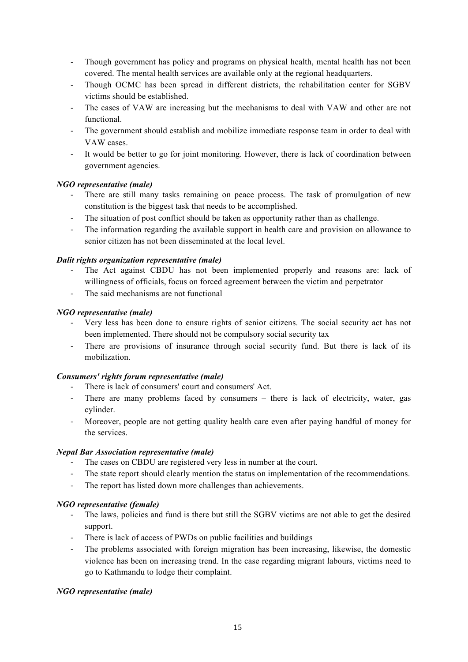- ! Though government has policy and programs on physical health, mental health has not been covered. The mental health services are available only at the regional headquarters.
- ! Though OCMC has been spread in different districts, the rehabilitation center for SGBV victims should be established.
- ! The cases of VAW are increasing but the mechanisms to deal with VAW and other are not functional.
- ! The government should establish and mobilize immediate response team in order to deal with VAW cases.
- ! It would be better to go for joint monitoring. However, there is lack of coordination between government agencies.

## *NGO representative (male)*

- ! There are still many tasks remaining on peace process. The task of promulgation of new constitution is the biggest task that needs to be accomplished.
- ! The situation of post conflict should be taken as opportunity rather than as challenge.
- ! The information regarding the available support in health care and provision on allowance to senior citizen has not been disseminated at the local level.

## *Dalit rights organization representative (male)*

- ! The Act against CBDU has not been implemented properly and reasons are: lack of willingness of officials, focus on forced agreement between the victim and perpetrator
- The said mechanisms are not functional

## *NGO representative (male)*

- ! Very less has been done to ensure rights of senior citizens. The social security act has not been implemented. There should not be compulsory social security tax
- ! There are provisions of insurance through social security fund. But there is lack of its mobilization.

## *Consumers' rights forum representative (male)*

- ! There is lack of consumers' court and consumers' Act.
- ! There are many problems faced by consumers there is lack of electricity, water, gas cylinder.
- ! Moreover, people are not getting quality health care even after paying handful of money for the services.

## *Nepal Bar Association representative (male)*

- The cases on CBDU are registered very less in number at the court.
- ! The state report should clearly mention the status on implementation of the recommendations.
- ! The report has listed down more challenges than achievements.

## *NGO representative (female)*

- ! The laws, policies and fund is there but still the SGBV victims are not able to get the desired support.
- ! There is lack of access of PWDs on public facilities and buildings
- ! The problems associated with foreign migration has been increasing, likewise, the domestic violence has been on increasing trend. In the case regarding migrant labours, victims need to go to Kathmandu to lodge their complaint.

## *NGO representative (male)*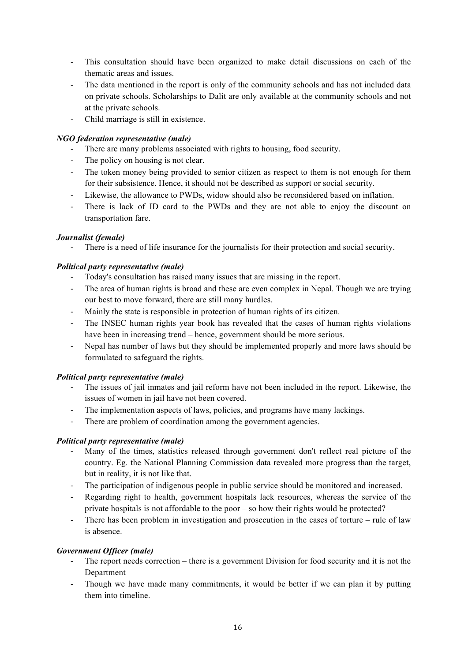- ! This consultation should have been organized to make detail discussions on each of the thematic areas and issues.
- ! The data mentioned in the report is only of the community schools and has not included data on private schools. Scholarships to Dalit are only available at the community schools and not at the private schools.
- ! Child marriage is still in existence.

## *NGO federation representative (male)*

- ! There are many problems associated with rights to housing, food security.
- The policy on housing is not clear.
- ! The token money being provided to senior citizen as respect to them is not enough for them for their subsistence. Hence, it should not be described as support or social security.
- ! Likewise, the allowance to PWDs, widow should also be reconsidered based on inflation.
- There is lack of ID card to the PWDs and they are not able to enjoy the discount on transportation fare.

## *Journalist (female)*

! There is a need of life insurance for the journalists for their protection and social security.

# *Political party representative (male)*

- ! Today's consultation has raised many issues that are missing in the report.
- ! The area of human rights is broad and these are even complex in Nepal. Though we are trying our best to move forward, there are still many hurdles.
- ! Mainly the state is responsible in protection of human rights of its citizen.
- ! The INSEC human rights year book has revealed that the cases of human rights violations have been in increasing trend – hence, government should be more serious.
- ! Nepal has number of laws but they should be implemented properly and more laws should be formulated to safeguard the rights.

# *Political party representative (male)*

- ! The issues of jail inmates and jail reform have not been included in the report. Likewise, the issues of women in jail have not been covered.
- ! The implementation aspects of laws, policies, and programs have many lackings.
- There are problem of coordination among the government agencies.

## *Political party representative (male)*

- ! Many of the times, statistics released through government don't reflect real picture of the country. Eg. the National Planning Commission data revealed more progress than the target, but in reality, it is not like that.
- ! The participation of indigenous people in public service should be monitored and increased.
- Regarding right to health, government hospitals lack resources, whereas the service of the private hospitals is not affordable to the poor – so how their rights would be protected?
- ! There has been problem in investigation and prosecution in the cases of torture rule of law is absence.

# *Government Officer (male)*

- ! The report needs correction there is a government Division for food security and it is not the Department
- ! Though we have made many commitments, it would be better if we can plan it by putting them into timeline.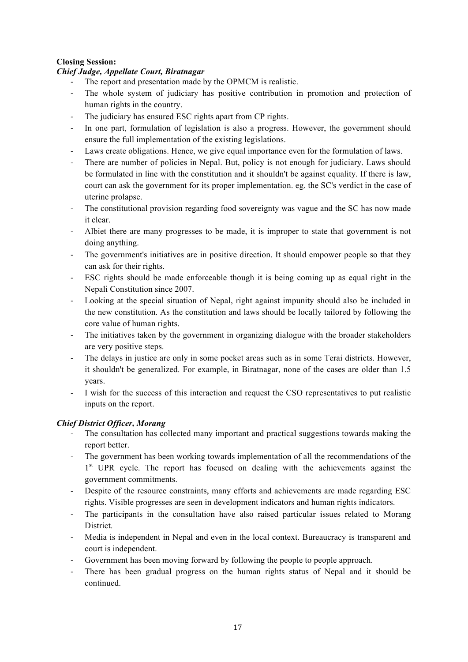## **Closing Session:**

#### *Chief Judge, Appellate Court, Biratnagar*

The report and presentation made by the OPMCM is realistic.

- The whole system of judiciary has positive contribution in promotion and protection of human rights in the country.
- ! The judiciary has ensured ESC rights apart from CP rights.
- ! In one part, formulation of legislation is also a progress. However, the government should ensure the full implementation of the existing legislations.
- ! Laws create obligations. Hence, we give equal importance even for the formulation of laws.
- ! There are number of policies in Nepal. But, policy is not enough for judiciary. Laws should be formulated in line with the constitution and it shouldn't be against equality. If there is law, court can ask the government for its proper implementation. eg. the SC's verdict in the case of uterine prolapse.
- ! The constitutional provision regarding food sovereignty was vague and the SC has now made it clear.
- ! Albiet there are many progresses to be made, it is improper to state that government is not doing anything.
- The government's initiatives are in positive direction. It should empower people so that they can ask for their rights.
- ! ESC rights should be made enforceable though it is being coming up as equal right in the Nepali Constitution since 2007.
- ! Looking at the special situation of Nepal, right against impunity should also be included in the new constitution. As the constitution and laws should be locally tailored by following the core value of human rights.
- ! The initiatives taken by the government in organizing dialogue with the broader stakeholders are very positive steps.
- ! The delays in justice are only in some pocket areas such as in some Terai districts. However, it shouldn't be generalized. For example, in Biratnagar, none of the cases are older than 1.5 years.
- ! I wish for the success of this interaction and request the CSO representatives to put realistic inputs on the report.

## *Chief District Officer, Morang*

- ! The consultation has collected many important and practical suggestions towards making the report better.
- ! The government has been working towards implementation of all the recommendations of the 1<sup>st</sup> UPR cycle. The report has focused on dealing with the achievements against the government commitments.
- ! Despite of the resource constraints, many efforts and achievements are made regarding ESC rights. Visible progresses are seen in development indicators and human rights indicators.
- ! The participants in the consultation have also raised particular issues related to Morang District.
- ! Media is independent in Nepal and even in the local context. Bureaucracy is transparent and court is independent.
- Government has been moving forward by following the people to people approach.
- ! There has been gradual progress on the human rights status of Nepal and it should be continued.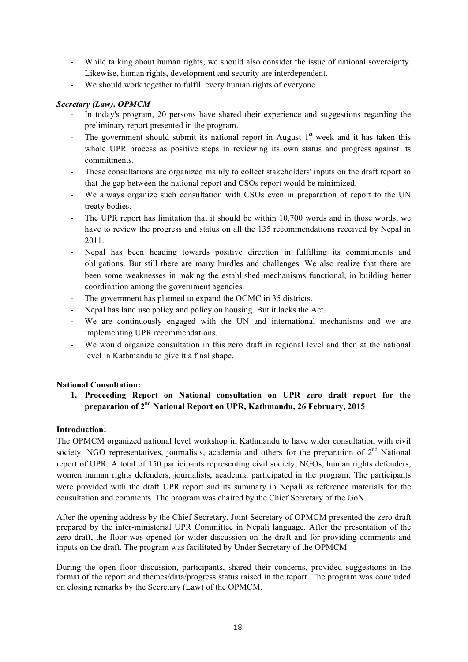- ! While talking about human rights, we should also consider the issue of national sovereignty. Likewise, human rights, development and security are interdependent.
- ! We should work together to fulfill every human rights of everyone.

## *Secretary (Law), OPMCM*

- ! In today's program, 20 persons have shared their experience and suggestions regarding the preliminary report presented in the program.
- The government should submit its national report in August  $1<sup>st</sup>$  week and it has taken this whole UPR process as positive steps in reviewing its own status and progress against its commitments.
- ! These consultations are organized mainly to collect stakeholders' inputs on the draft report so that the gap between the national report and CSOs report would be minimized.
- ! We always organize such consultation with CSOs even in preparation of report to the UN treaty bodies.
- ! The UPR report has limitation that it should be within 10,700 words and in those words, we have to review the progress and status on all the 135 recommendations received by Nepal in 2011.
- ! Nepal has been heading towards positive direction in fulfilling its commitments and obligations. But still there are many hurdles and challenges. We also realize that there are been some weaknesses in making the established mechanisms functional, in building better coordination among the government agencies.
- ! The government has planned to expand the OCMC in 35 districts.
- ! Nepal has land use policy and policy on housing. But it lacks the Act.
- We are continuously engaged with the UN and international mechanisms and we are implementing UPR recommendations.
- We would organize consultation in this zero draft in regional level and then at the national level in Kathmandu to give it a final shape.

## **National Consultation:**

**1. Proceeding Report on National consultation on UPR zero draft report for the preparation of 2nd National Report on UPR, Kathmandu, 26 February, 2015**

## **Introduction:**

The OPMCM organized national level workshop in Kathmandu to have wider consultation with civil society, NGO representatives, journalists, academia and others for the preparation of 2<sup>nd</sup> National report of UPR. A total of 150 participants representing civil society, NGOs, human rights defenders, women human rights defenders, journalists, academia participated in the program. The participants were provided with the draft UPR report and its summary in Nepali as reference materials for the consultation and comments. The program was chaired by the Chief Secretary of the GoN.

After the opening address by the Chief Secretary, Joint Secretary of OPMCM presented the zero draft prepared by the inter-ministerial UPR Committee in Nepali language. After the presentation of the zero draft, the floor was opened for wider discussion on the draft and for providing comments and inputs on the draft. The program was facilitated by Under Secretary of the OPMCM.

During the open floor discussion, participants, shared their concerns, provided suggestions in the format of the report and themes/data/progress status raised in the report. The program was concluded on closing remarks by the Secretary (Law) of the OPMCM.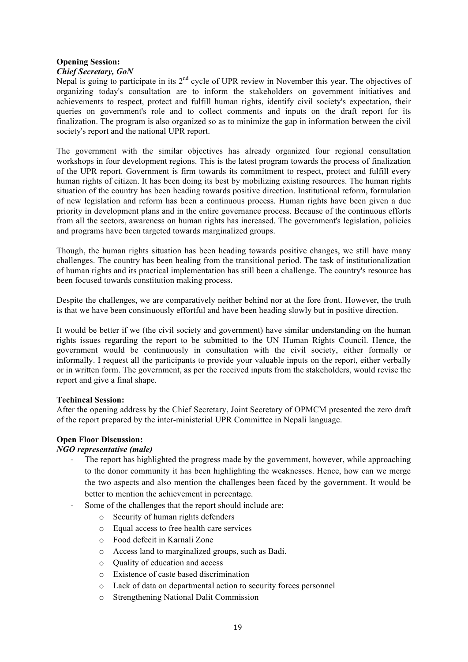#### **Opening Session:** *Chief Secretary, GoN*

Nepal is going to participate in its 2<sup>nd</sup> cycle of UPR review in November this year. The objectives of organizing today's consultation are to inform the stakeholders on government initiatives and achievements to respect, protect and fulfill human rights, identify civil society's expectation, their queries on government's role and to collect comments and inputs on the draft report for its finalization. The program is also organized so as to minimize the gap in information between the civil society's report and the national UPR report.

The government with the similar objectives has already organized four regional consultation workshops in four development regions. This is the latest program towards the process of finalization of the UPR report. Government is firm towards its commitment to respect, protect and fulfill every human rights of citizen. It has been doing its best by mobilizing existing resources. The human rights situation of the country has been heading towards positive direction. Institutional reform, formulation of new legislation and reform has been a continuous process. Human rights have been given a due priority in development plans and in the entire governance process. Because of the continuous efforts from all the sectors, awareness on human rights has increased. The government's legislation, policies and programs have been targeted towards marginalized groups.

Though, the human rights situation has been heading towards positive changes, we still have many challenges. The country has been healing from the transitional period. The task of institutionalization of human rights and its practical implementation has still been a challenge. The country's resource has been focused towards constitution making process.

Despite the challenges, we are comparatively neither behind nor at the fore front. However, the truth is that we have been consinuously effortful and have been heading slowly but in positive direction.

It would be better if we (the civil society and government) have similar understanding on the human rights issues regarding the report to be submitted to the UN Human Rights Council. Hence, the government would be continuously in consultation with the civil society, either formally or informally. I request all the participants to provide your valuable inputs on the report, either verbally or in written form. The government, as per the received inputs from the stakeholders, would revise the report and give a final shape.

#### **Techincal Session:**

After the opening address by the Chief Secretary, Joint Secretary of OPMCM presented the zero draft of the report prepared by the inter-ministerial UPR Committee in Nepali language.

## **Open Floor Discussion:**

#### *NGO representative (male)*

- ! The report has highlighted the progress made by the government, however, while approaching to the donor community it has been highlighting the weaknesses. Hence, how can we merge the two aspects and also mention the challenges been faced by the government. It would be better to mention the achievement in percentage.
- ! Some of the challenges that the report should include are:
	- o Security of human rights defenders
	- o Equal access to free health care services
	- o Food defecit in Karnali Zone
	- o Access land to marginalized groups, such as Badi.
	- o Quality of education and access
	- o Existence of caste based discrimination
	- o Lack of data on departmental action to security forces personnel
	- o Strengthening National Dalit Commission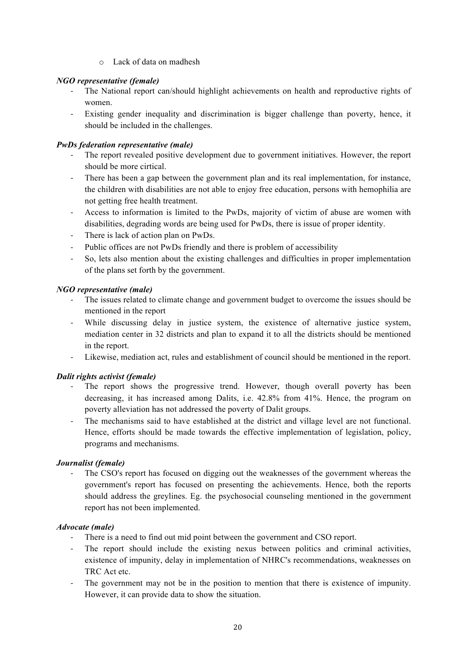o Lack of data on madhesh

## *NGO representative (female)*

- ! The National report can/should highlight achievements on health and reproductive rights of women.
- ! Existing gender inequality and discrimination is bigger challenge than poverty, hence, it should be included in the challenges.

## *PwDs federation representative (male)*

- ! The report revealed positive development due to government initiatives. However, the report should be more cirtical.
- ! There has been a gap between the government plan and its real implementation, for instance, the children with disabilities are not able to enjoy free education, persons with hemophilia are not getting free health treatment.
- ! Access to information is limited to the PwDs, majority of victim of abuse are women with disabilities, degrading words are being used for PwDs, there is issue of proper identity.
- ! There is lack of action plan on PwDs.
- Public offices are not PwDs friendly and there is problem of accessibility
- ! So, lets also mention about the existing challenges and difficulties in proper implementation of the plans set forth by the government.

## *NGO representative (male)*

- ! The issues related to climate change and government budget to overcome the issues should be mentioned in the report
- ! While discussing delay in justice system, the existence of alternative justice system, mediation center in 32 districts and plan to expand it to all the districts should be mentioned in the report.
- ! Likewise, mediation act, rules and establishment of council should be mentioned in the report.

## *Dalit rights activist (female)*

- ! The report shows the progressive trend. However, though overall poverty has been decreasing, it has increased among Dalits, i.e. 42.8% from 41%. Hence, the program on poverty alleviation has not addressed the poverty of Dalit groups.
- ! The mechanisms said to have established at the district and village level are not functional. Hence, efforts should be made towards the effective implementation of legislation, policy, programs and mechanisms.

## *Journalist (female)*

! The CSO's report has focused on digging out the weaknesses of the government whereas the government's report has focused on presenting the achievements. Hence, both the reports should address the greylines. Eg. the psychosocial counseling mentioned in the government report has not been implemented.

## *Advocate (male)*

- ! There is a need to find out mid point between the government and CSO report.
- ! The report should include the existing nexus between politics and criminal activities, existence of impunity, delay in implementation of NHRC's recommendations, weaknesses on TRC Act etc.
- ! The government may not be in the position to mention that there is existence of impunity. However, it can provide data to show the situation.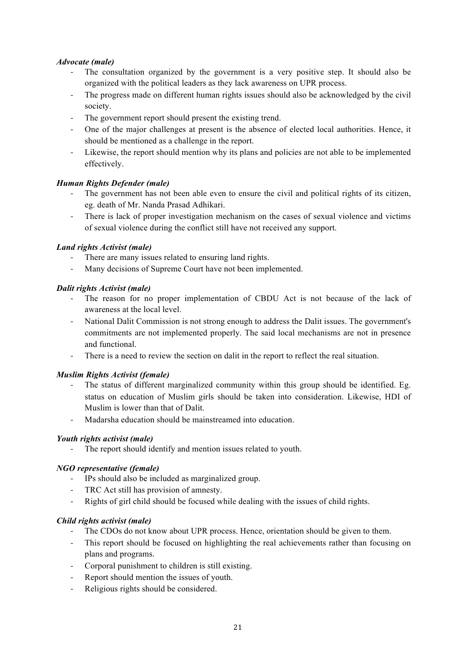## *Advocate (male)*

- ! The consultation organized by the government is a very positive step. It should also be organized with the political leaders as they lack awareness on UPR process.
- ! The progress made on different human rights issues should also be acknowledged by the civil society.
- ! The government report should present the existing trend.
- ! One of the major challenges at present is the absence of elected local authorities. Hence, it should be mentioned as a challenge in the report.
- ! Likewise, the report should mention why its plans and policies are not able to be implemented effectively.

## *Human Rights Defender (male)*

- ! The government has not been able even to ensure the civil and political rights of its citizen, eg. death of Mr. Nanda Prasad Adhikari.
- ! There is lack of proper investigation mechanism on the cases of sexual violence and victims of sexual violence during the conflict still have not received any support.

## *Land rights Activist (male)*

- There are many issues related to ensuring land rights.
- ! Many decisions of Supreme Court have not been implemented.

#### *Dalit rights Activist (male)*

- ! The reason for no proper implementation of CBDU Act is not because of the lack of awareness at the local level.
- ! National Dalit Commission is not strong enough to address the Dalit issues. The government's commitments are not implemented properly. The said local mechanisms are not in presence and functional.
- ! There is a need to review the section on dalit in the report to reflect the real situation.

#### *Muslim Rights Activist (female)*

- ! The status of different marginalized community within this group should be identified. Eg. status on education of Muslim girls should be taken into consideration. Likewise, HDI of Muslim is lower than that of Dalit.
- ! Madarsha education should be mainstreamed into education.

## *Youth rights activist (male)*

- The report should identify and mention issues related to youth.

#### *NGO representative (female)*

- ! IPs should also be included as marginalized group.
- ! TRC Act still has provision of amnesty.
- ! Rights of girl child should be focused while dealing with the issues of child rights.

#### *Child rights activist (male)*

- ! The CDOs do not know about UPR process. Hence, orientation should be given to them.
- ! This report should be focused on highlighting the real achievements rather than focusing on plans and programs.
- ! Corporal punishment to children is still existing.
- Report should mention the issues of youth.
- ! Religious rights should be considered.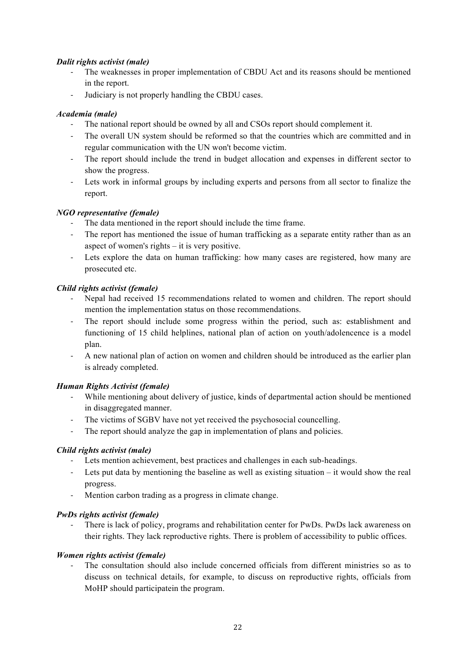## *Dalit rights activist (male)*

- ! The weaknesses in proper implementation of CBDU Act and its reasons should be mentioned in the report.
- ! Judiciary is not properly handling the CBDU cases.

# *Academia (male)*

- ! The national report should be owned by all and CSOs report should complement it.
- ! The overall UN system should be reformed so that the countries which are committed and in regular communication with the UN won't become victim.
- ! The report should include the trend in budget allocation and expenses in different sector to show the progress.
- ! Lets work in informal groups by including experts and persons from all sector to finalize the report.

# *NGO representative (female)*

- ! The data mentioned in the report should include the time frame.
- ! The report has mentioned the issue of human trafficking as a separate entity rather than as an aspect of women's rights – it is very positive.
- ! Lets explore the data on human trafficking: how many cases are registered, how many are prosecuted etc.

# *Child rights activist (female)*

- ! Nepal had received 15 recommendations related to women and children. The report should mention the implementation status on those recommendations.
- ! The report should include some progress within the period, such as: establishment and functioning of 15 child helplines, national plan of action on youth/adolencence is a model plan.
- ! A new national plan of action on women and children should be introduced as the earlier plan is already completed.

## *Human Rights Activist (female)*

- While mentioning about delivery of justice, kinds of departmental action should be mentioned in disaggregated manner.
- ! The victims of SGBV have not yet received the psychosocial councelling.
- The report should analyze the gap in implementation of plans and policies.

## *Child rights activist (male)*

- ! Lets mention achievement, best practices and challenges in each sub-headings.
- ! Lets put data by mentioning the baseline as well as existing situation it would show the real progress.
- ! Mention carbon trading as a progress in climate change.

## *PwDs rights activist (female)*

! There is lack of policy, programs and rehabilitation center for PwDs. PwDs lack awareness on their rights. They lack reproductive rights. There is problem of accessibility to public offices.

## *Women rights activist (female)*

! The consultation should also include concerned officials from different ministries so as to discuss on technical details, for example, to discuss on reproductive rights, officials from MoHP should participatein the program.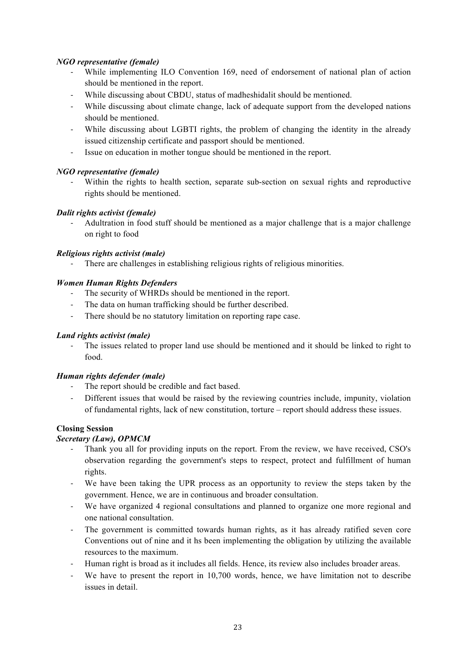# *NGO representative (female)*

- While implementing ILO Convention 169, need of endorsement of national plan of action should be mentioned in the report.
- ! While discussing about CBDU, status of madheshidalit should be mentioned.
- ! While discussing about climate change, lack of adequate support from the developed nations should be mentioned.
- ! While discussing about LGBTI rights, the problem of changing the identity in the already issued citizenship certificate and passport should be mentioned.
- ! Issue on education in mother tongue should be mentioned in the report.

## *NGO representative (female)*

Within the rights to health section, separate sub-section on sexual rights and reproductive rights should be mentioned.

# *Dalit rights activist (female)*

! Adultration in food stuff should be mentioned as a major challenge that is a major challenge on right to food

## *Religious rights activist (male)*

! There are challenges in establishing religious rights of religious minorities.

# *Women Human Rights Defenders*

- ! The security of WHRDs should be mentioned in the report.
- ! The data on human trafficking should be further described.
- ! There should be no statutory limitation on reporting rape case.

## *Land rights activist (male)*

The issues related to proper land use should be mentioned and it should be linked to right to food.

## *Human rights defender (male)*

- The report should be credible and fact based.
- ! Different issues that would be raised by the reviewing countries include, impunity, violation of fundamental rights, lack of new constitution, torture – report should address these issues.

# **Closing Session**

## *Secretary (Law), OPMCM*

- ! Thank you all for providing inputs on the report. From the review, we have received, CSO's observation regarding the government's steps to respect, protect and fulfillment of human rights.
- We have been taking the UPR process as an opportunity to review the steps taken by the government. Hence, we are in continuous and broader consultation.
- ! We have organized 4 regional consultations and planned to organize one more regional and one national consultation.
- ! The government is committed towards human rights, as it has already ratified seven core Conventions out of nine and it hs been implementing the obligation by utilizing the available resources to the maximum.
- ! Human right is broad as it includes all fields. Hence, its review also includes broader areas.
- We have to present the report in 10,700 words, hence, we have limitation not to describe issues in detail.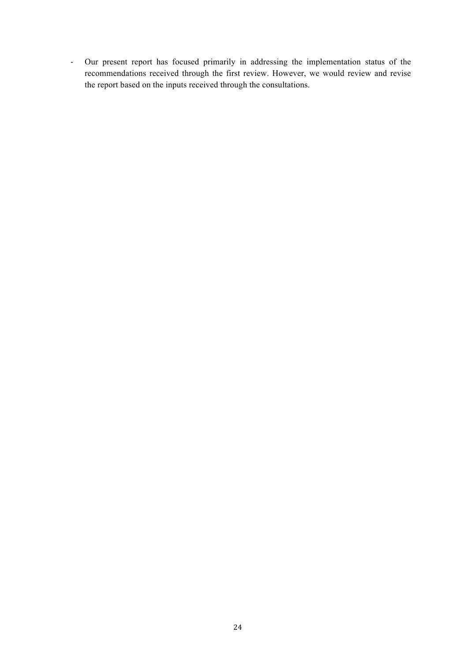! Our present report has focused primarily in addressing the implementation status of the recommendations received through the first review. However, we would review and revise the report based on the inputs received through the consultations.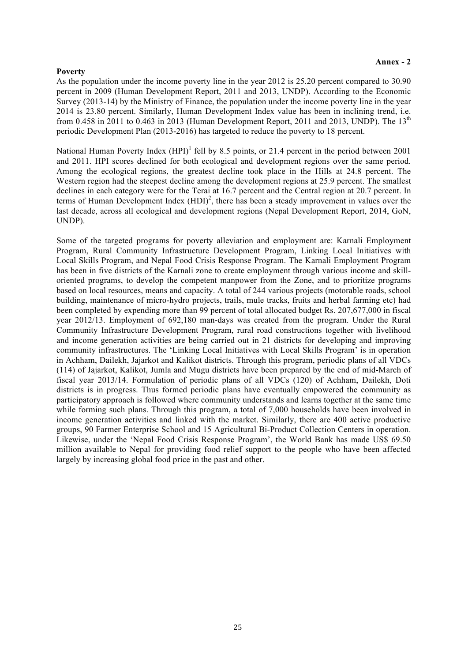#### **Poverty**

As the population under the income poverty line in the year 2012 is 25.20 percent compared to 30.90 percent in 2009 (Human Development Report, 2011 and 2013, UNDP). According to the Economic Survey (2013-14) by the Ministry of Finance, the population under the income poverty line in the year 2014 is 23.80 percent. Similarly, Human Development Index value has been in inclining trend, i.e. from 0.458 in 2011 to 0.463 in 2013 (Human Development Report, 2011 and 2013, UNDP). The  $13<sup>th</sup>$ periodic Development Plan (2013-2016) has targeted to reduce the poverty to 18 percent.

National Human Poverty Index  $(HPI)^1$  fell by 8.5 points, or 21.4 percent in the period between 2001 and 2011. HPI scores declined for both ecological and development regions over the same period. Among the ecological regions, the greatest decline took place in the Hills at 24.8 percent. The Western region had the steepest decline among the development regions at 25.9 percent. The smallest declines in each category were for the Terai at 16.7 percent and the Central region at 20.7 percent. In terms of Human Development Index (HDI) 2 , there has been a steady improvement in values over the last decade, across all ecological and development regions (Nepal Development Report, 2014, GoN, UNDP).

Some of the targeted programs for poverty alleviation and employment are: Karnali Employment Program, Rural Community Infrastructure Development Program, Linking Local Initiatives with Local Skills Program, and Nepal Food Crisis Response Program. The Karnali Employment Program has been in five districts of the Karnali zone to create employment through various income and skilloriented programs, to develop the competent manpower from the Zone, and to prioritize programs based on local resources, means and capacity. A total of 244 various projects (motorable roads, school building, maintenance of micro-hydro projects, trails, mule tracks, fruits and herbal farming etc) had been completed by expending more than 99 percent of total allocated budget Rs. 207,677,000 in fiscal year 2012/13. Employment of 692,180 man-days was created from the program. Under the Rural Community Infrastructure Development Program, rural road constructions together with livelihood and income generation activities are being carried out in 21 districts for developing and improving community infrastructures. The 'Linking Local Initiatives with Local Skills Program' is in operation in Achham, Dailekh, Jajarkot and Kalikot districts. Through this program, periodic plans of all VDCs (114) of Jajarkot, Kalikot, Jumla and Mugu districts have been prepared by the end of mid-March of fiscal year 2013/14. Formulation of periodic plans of all VDCs (120) of Achham, Dailekh, Doti districts is in progress. Thus formed periodic plans have eventually empowered the community as participatory approach is followed where community understands and learns together at the same time while forming such plans. Through this program, a total of 7,000 households have been involved in income generation activities and linked with the market. Similarly, there are 400 active productive groups, 90 Farmer Enterprise School and 15 Agricultural Bi-Product Collection Centers in operation. Likewise, under the 'Nepal Food Crisis Response Program', the World Bank has made US\$ 69.50 million available to Nepal for providing food relief support to the people who have been affected largely by increasing global food price in the past and other.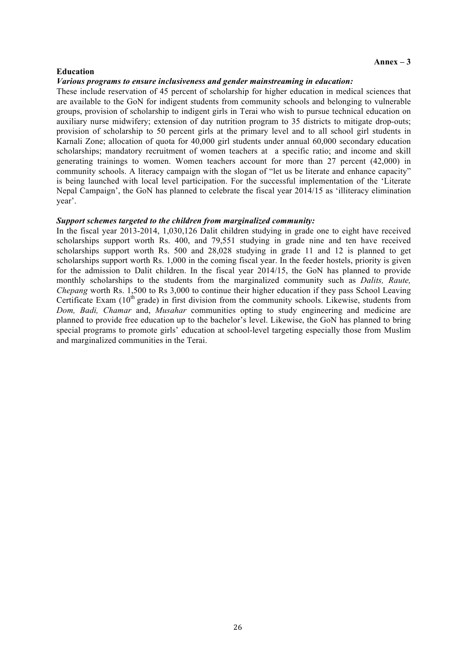#### **Education**

#### *Various programs to ensure inclusiveness and gender mainstreaming in education:*

These include reservation of 45 percent of scholarship for higher education in medical sciences that are available to the GoN for indigent students from community schools and belonging to vulnerable groups, provision of scholarship to indigent girls in Terai who wish to pursue technical education on auxiliary nurse midwifery; extension of day nutrition program to 35 districts to mitigate drop-outs; provision of scholarship to 50 percent girls at the primary level and to all school girl students in Karnali Zone; allocation of quota for 40,000 girl students under annual 60,000 secondary education scholarships; mandatory recruitment of women teachers at a specific ratio; and income and skill generating trainings to women. Women teachers account for more than 27 percent (42,000) in community schools. A literacy campaign with the slogan of "let us be literate and enhance capacity" is being launched with local level participation. For the successful implementation of the 'Literate Nepal Campaign', the GoN has planned to celebrate the fiscal year 2014/15 as 'illiteracy elimination year'.

#### *Support schemes targeted to the children from marginalized community:*

In the fiscal year 2013-2014, 1,030,126 Dalit children studying in grade one to eight have received scholarships support worth Rs. 400, and 79,551 studying in grade nine and ten have received scholarships support worth Rs. 500 and 28,028 studying in grade 11 and 12 is planned to get scholarships support worth Rs. 1,000 in the coming fiscal year. In the feeder hostels, priority is given for the admission to Dalit children. In the fiscal year 2014/15, the GoN has planned to provide monthly scholarships to the students from the marginalized community such as *Dalits, Raute, Chepang* worth Rs. 1,500 to Rs 3,000 to continue their higher education if they pass School Leaving Certificate Exam  $(10<sup>th</sup> \text{ grade})$  in first division from the community schools. Likewise, students from *Dom, Badi, Chamar* and, *Musahar* communities opting to study engineering and medicine are planned to provide free education up to the bachelor's level. Likewise, the GoN has planned to bring special programs to promote girls' education at school-level targeting especially those from Muslim and marginalized communities in the Terai.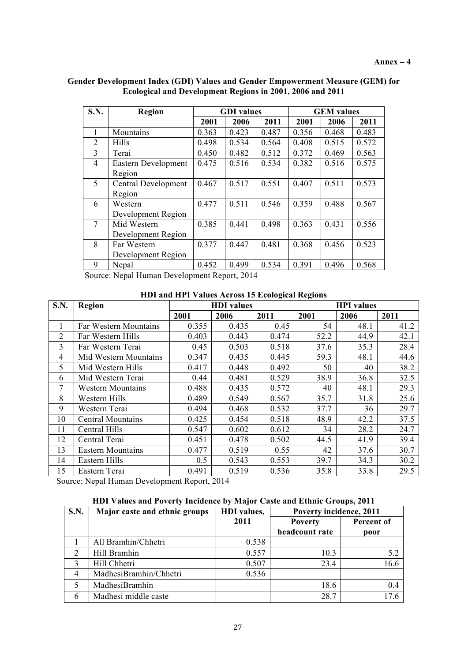| <b>S.N.</b>    | <b>Region</b>       | <b>GDI</b> values |       | <b>GEM</b> values |       |       |       |
|----------------|---------------------|-------------------|-------|-------------------|-------|-------|-------|
|                |                     | 2001              | 2006  | 2011              | 2001  | 2006  | 2011  |
| 1              | Mountains           | 0.363             | 0.423 | 0.487             | 0.356 | 0.468 | 0.483 |
| $\overline{2}$ | Hills               | 0.498             | 0.534 | 0.564             | 0.408 | 0.515 | 0.572 |
| 3              | Terai               | 0.450             | 0.482 | 0.512             | 0.372 | 0.469 | 0.563 |
| 4              | Eastern Development | 0.475             | 0.516 | 0.534             | 0.382 | 0.516 | 0.575 |
|                | Region              |                   |       |                   |       |       |       |
| 5              | Central Development | 0.467             | 0.517 | 0.551             | 0.407 | 0.511 | 0.573 |
|                | Region              |                   |       |                   |       |       |       |
| 6              | Western             | 0.477             | 0.511 | 0.546             | 0.359 | 0.488 | 0.567 |
|                | Development Region  |                   |       |                   |       |       |       |
| 7              | Mid Western         | 0.385             | 0.441 | 0.498             | 0.363 | 0.431 | 0.556 |
|                | Development Region  |                   |       |                   |       |       |       |
| 8              | Far Western         | 0.377             | 0.447 | 0.481             | 0.368 | 0.456 | 0.523 |
|                | Development Region  |                   |       |                   |       |       |       |
| 9              | Nepal               | 0.452             | 0.499 | 0.534             | 0.391 | 0.496 | 0.568 |

**Gender Development Index (GDI) Values and Gender Empowerment Measure (GEM) for Ecological and Development Regions in 2001, 2006 and 2011**

Source: Nepal Human Development Report, 2014

#### **HDI and HPI Values Across 15 Ecological Regions**

| S.N. | Region                   | <b>HDI</b> values |       |       | <b>HPI</b> values |      |      |
|------|--------------------------|-------------------|-------|-------|-------------------|------|------|
|      |                          | 2001              | 2006  | 2011  | 2001              | 2006 | 2011 |
|      | Far Western Mountains    | 0.355             | 0.435 | 0.45  | 54                | 48.1 | 41.2 |
| 2    | Far Western Hills        | 0.403             | 0.443 | 0.474 | 52.2              | 44.9 | 42.1 |
| 3    | Far Western Terai        | 0.45              | 0.503 | 0.518 | 37.6              | 35.3 | 28.4 |
| 4    | Mid Western Mountains    | 0.347             | 0.435 | 0.445 | 59.3              | 48.1 | 44.6 |
| 5    | Mid Western Hills        | 0.417             | 0.448 | 0.492 | 50                | 40   | 38.2 |
| 6    | Mid Western Terai        | 0.44              | 0.481 | 0.529 | 38.9              | 36.8 | 32.5 |
| 7    | <b>Western Mountains</b> | 0.488             | 0.435 | 0.572 | 40                | 48.1 | 29.3 |
| 8    | Western Hills            | 0.489             | 0.549 | 0.567 | 35.7              | 31.8 | 25.6 |
| 9    | Western Terai            | 0.494             | 0.468 | 0.532 | 37.7              | 36   | 29.7 |
| 10   | <b>Central Mountains</b> | 0.425             | 0.454 | 0.518 | 48.9              | 42.2 | 37.5 |
| 11   | Central Hills            | 0.547             | 0.602 | 0.612 | 34                | 28.2 | 24.7 |
| 12   | Central Terai            | 0.451             | 0.478 | 0.502 | 44.5              | 41.9 | 39.4 |
| 13   | <b>Eastern Mountains</b> | 0.477             | 0.519 | 0.55  | 42                | 37.6 | 30.7 |
| 14   | Eastern Hills            | 0.5               | 0.543 | 0.553 | 39.7              | 34.3 | 30.2 |
| 15   | Eastern Terai            | 0.491             | 0.519 | 0.536 | 35.8              | 33.8 | 29.5 |

Source: Nepal Human Development Report, 2014

#### **HDI Values and Poverty Incidence by Major Caste and Ethnic Groups, 2011**

| <b>S.N.</b>    | Major caste and ethnic groups | <b>HDI</b> values, | Poverty incidence, 2011 |            |  |
|----------------|-------------------------------|--------------------|-------------------------|------------|--|
|                |                               | 2011               | <b>Poverty</b>          | Percent of |  |
|                |                               |                    | headcount rate          | poor       |  |
|                | All Bramhin/Chhetri           | 0.538              |                         |            |  |
| 2              | Hill Bramhin                  | 0.557              | 10.3                    | 5.2        |  |
| 3              | Hill Chhetri                  | 0.507              | 23.4                    | 16.6       |  |
| $\overline{4}$ | MadhesiBramhin/Chhetri        | 0.536              |                         |            |  |
| 5              | MadhesiBramhin                |                    | 18.6                    | 0.4        |  |
| 6              | Madhesi middle caste          |                    | 28.7                    | 176        |  |